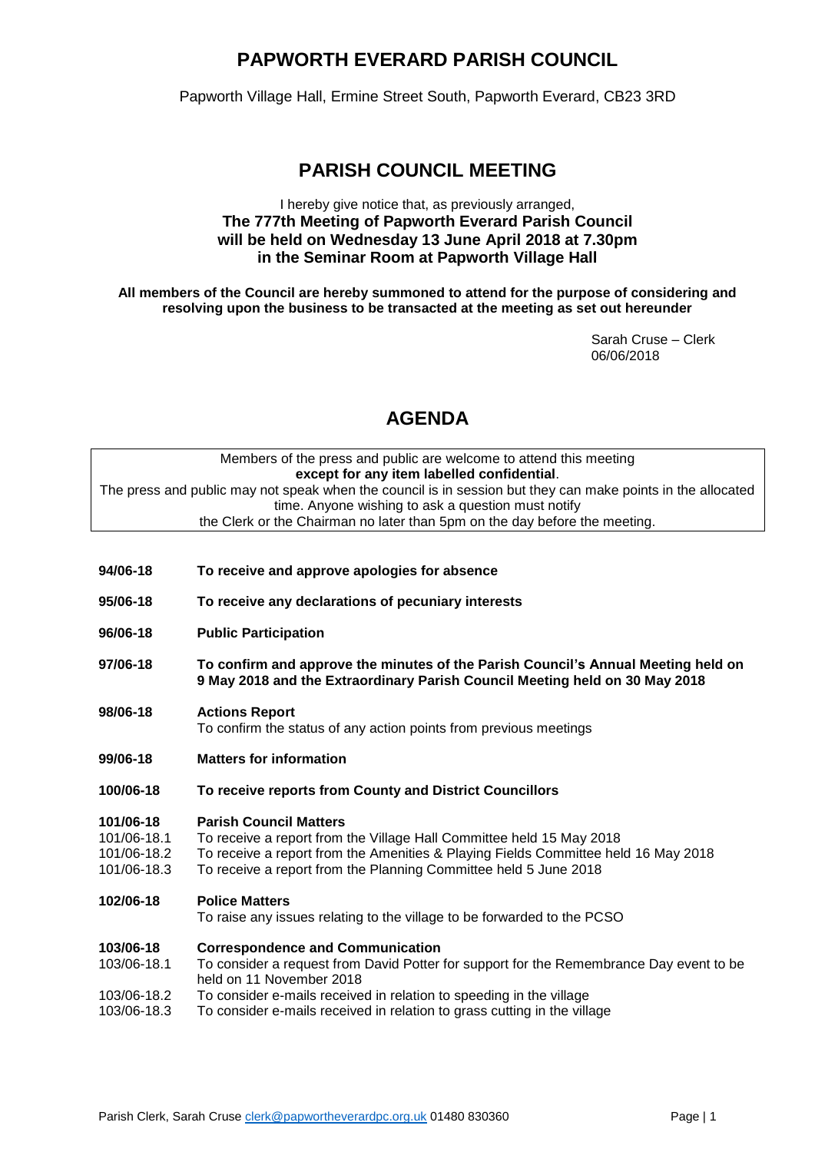# **PAPWORTH EVERARD PARISH COUNCIL**

Papworth Village Hall, Ermine Street South, Papworth Everard, CB23 3RD

## **PARISH COUNCIL MEETING**

## I hereby give notice that, as previously arranged, **The 777th Meeting of Papworth Everard Parish Council will be held on Wednesday 13 June April 2018 at 7.30pm in the Seminar Room at Papworth Village Hall**

**All members of the Council are hereby summoned to attend for the purpose of considering and resolving upon the business to be transacted at the meeting as set out hereunder**

> Sarah Cruse – Clerk 06/06/2018

# **AGENDA**

## Members of the press and public are welcome to attend this meeting **except for any item labelled confidential**. The press and public may not speak when the council is in session but they can make points in the allocated time. Anyone wishing to ask a question must notify the Clerk or the Chairman no later than 5pm on the day before the meeting.

| 94/06-18                                               | To receive and approve apologies for absence                                                                                                                                                                                                                    |  |  |
|--------------------------------------------------------|-----------------------------------------------------------------------------------------------------------------------------------------------------------------------------------------------------------------------------------------------------------------|--|--|
| 95/06-18                                               | To receive any declarations of pecuniary interests                                                                                                                                                                                                              |  |  |
| 96/06-18                                               | <b>Public Participation</b>                                                                                                                                                                                                                                     |  |  |
| 97/06-18                                               | To confirm and approve the minutes of the Parish Council's Annual Meeting held on<br>9 May 2018 and the Extraordinary Parish Council Meeting held on 30 May 2018                                                                                                |  |  |
| 98/06-18                                               | <b>Actions Report</b><br>To confirm the status of any action points from previous meetings                                                                                                                                                                      |  |  |
| <b>Matters for information</b><br>99/06-18             |                                                                                                                                                                                                                                                                 |  |  |
| 100/06-18                                              | To receive reports from County and District Councillors                                                                                                                                                                                                         |  |  |
| 101/06-18<br>101/06-18.1<br>101/06-18.2<br>101/06-18.3 | <b>Parish Council Matters</b><br>To receive a report from the Village Hall Committee held 15 May 2018<br>To receive a report from the Amenities & Playing Fields Committee held 16 May 2018<br>To receive a report from the Planning Committee held 5 June 2018 |  |  |
| 102/06-18                                              | <b>Police Matters</b><br>To raise any issues relating to the village to be forwarded to the PCSO                                                                                                                                                                |  |  |
| 103/06-18<br>103/06-18.1                               | <b>Correspondence and Communication</b><br>To consider a request from David Potter for support for the Remembrance Day event to be<br>held on 11 November 2018                                                                                                  |  |  |
| 103/06-18.2<br>103/06-18.3                             | To consider e-mails received in relation to speeding in the village<br>To consider e-mails received in relation to grass cutting in the village                                                                                                                 |  |  |
|                                                        |                                                                                                                                                                                                                                                                 |  |  |